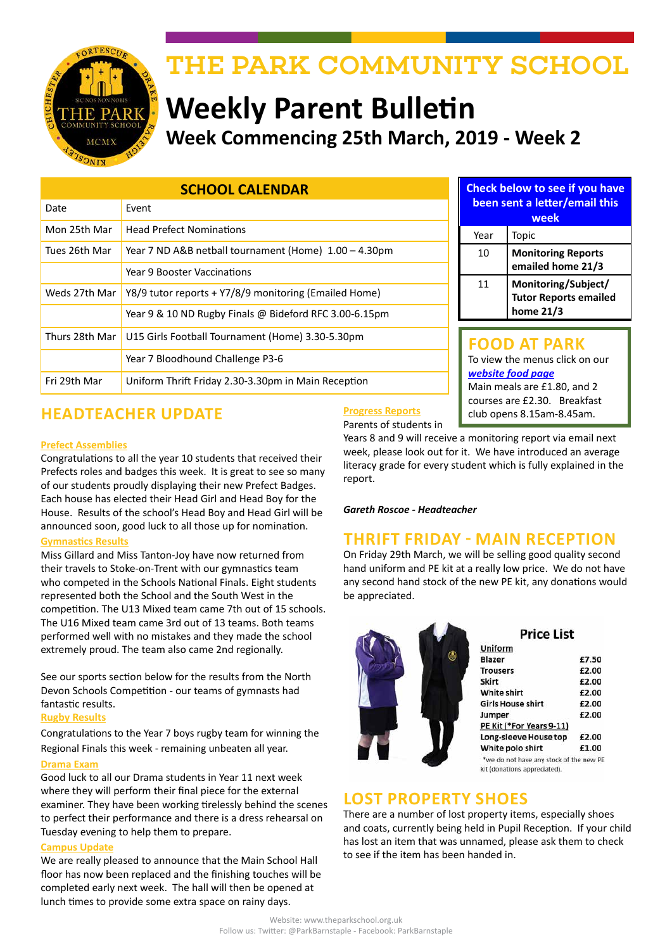

# THE PARK COMMUNITY SCHOOL

# **Weekly Parent Bulletin Week Commencing 25th March, 2019 - Week 2**

| <b>SCHOOL CALENDAR</b> |                                                                   |  |  |
|------------------------|-------------------------------------------------------------------|--|--|
| Date                   | Event                                                             |  |  |
| Mon 25th Mar           | <b>Head Prefect Nominations</b>                                   |  |  |
| Tues 26th Mar          | Year 7 ND A&B netball tournament (Home) 1.00 - 4.30pm             |  |  |
|                        | Year 9 Booster Vaccinations                                       |  |  |
| Weds 27th Mar          | Y8/9 tutor reports + Y7/8/9 monitoring (Emailed Home)             |  |  |
|                        | Year 9 & 10 ND Rugby Finals @ Bideford RFC 3.00-6.15pm            |  |  |
|                        | Thurs 28th Mar   U15 Girls Football Tournament (Home) 3.30-5.30pm |  |  |
|                        | Year 7 Bloodhound Challenge P3-6                                  |  |  |
| Fri 29th Mar           | Uniform Thrift Friday 2.30-3.30pm in Main Reception               |  |  |

### **Check below to see if you have been sent a letter/email this week** Year | Topic 10 **Monitoring Reports**

**emailed home 21/3** 11 **Monitoring/Subject/ Tutor Reports emailed home 21/3**

# **FOOD AT PARK**

To view the menus click on our *[website food page](http://www.theparkschool.org.uk/food-park)* Main meals are £1.80, and 2 courses are £2.30. Breakfast

# **HEADTEACHER UPDATE** Progress Reports explores 8.15am-8.45am.

#### **Prefect Assemblies**

Congratulations to all the year 10 students that received their Prefects roles and badges this week. It is great to see so many of our students proudly displaying their new Prefect Badges. Each house has elected their Head Girl and Head Boy for the House. Results of the school's Head Boy and Head Girl will be announced soon, good luck to all those up for nomination.

#### **Gymnastics Results**

Miss Gillard and Miss Tanton-Joy have now returned from their travels to Stoke-on-Trent with our gymnastics team who competed in the Schools National Finals. Eight students represented both the School and the South West in the competition. The U13 Mixed team came 7th out of 15 schools. The U16 Mixed team came 3rd out of 13 teams. Both teams performed well with no mistakes and they made the school extremely proud. The team also came 2nd regionally.

See our sports section below for the results from the North Devon Schools Competition - our teams of gymnasts had fantastic results.

#### **Rugby Results**

Congratulations to the Year 7 boys rugby team for winning the Regional Finals this week - remaining unbeaten all year.

#### **Drama Exam**

Good luck to all our Drama students in Year 11 next week where they will perform their final piece for the external examiner. They have been working tirelessly behind the scenes to perfect their performance and there is a dress rehearsal on Tuesday evening to help them to prepare.

#### **Campus Update**

We are really pleased to announce that the Main School Hall floor has now been replaced and the finishing touches will be completed early next week. The hall will then be opened at lunch times to provide some extra space on rainy days.

#### **Progress Reports** Parents of students in

Years 8 and 9 will receive a monitoring report via email next week, please look out for it. We have introduced an average literacy grade for every student which is fully explained in the report.

*Gareth Roscoe - Headteacher*

# **THRIFT FRIDAY - MAIN RECEPTION**

On Friday 29th March, we will be selling good quality second hand uniform and PE kit at a really low price. We do not have any second hand stock of the new PE kit, any donations would be appreciated.



# **Price List**

| Uniform                                                                 |       |
|-------------------------------------------------------------------------|-------|
| Blazer                                                                  | £7.50 |
| <b>Trousers</b>                                                         | £2.00 |
| <b>Skirt</b>                                                            | £2.00 |
| <b>White shirt</b>                                                      | £2.00 |
| <b>Girls House shirt</b>                                                | £2.00 |
| Jumper                                                                  | £2.00 |
| PE Kit (*For Years 9-11)                                                |       |
| Long-sleeve House top                                                   | £2.00 |
| White polo shirt                                                        | £1.00 |
| *we do not have any stock of the new PE<br>kit (donations appreciated). |       |

# **LOST PROPERTY SHOES**

There are a number of lost property items, especially shoes and coats, currently being held in Pupil Reception. If your child has lost an item that was unnamed, please ask them to check to see if the item has been handed in.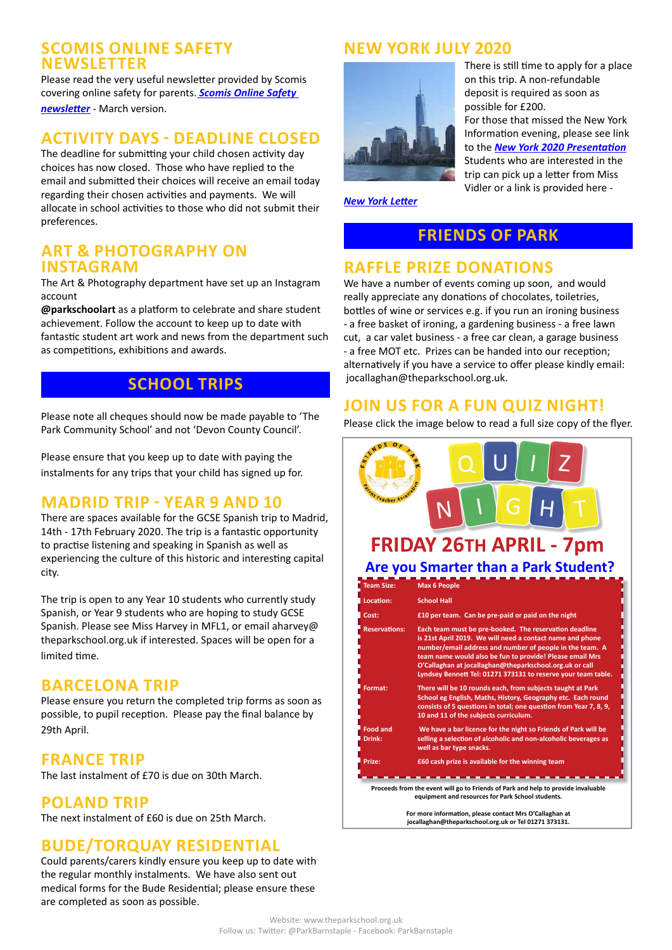#### **SCOMIS ONLINE SAFETY NEWSLETTER**

Please read the very useful newsletter provided by Scomis covering online safety for parents. *[Scomis Online Safety](http://www.theparkschool.org.uk/sites/default/files/OLS%20Parents%20Newsletter%20March%202019.pdf)  [newsletter](http://www.theparkschool.org.uk/sites/default/files/OLS%20Parents%20Newsletter%20March%202019.pdf)* - March version.

# **ACTIVITY DAYS - DEADLINE CLOSED**

The deadline for submitting your child chosen activity day choices has now closed. Those who have replied to the email and submitted their choices will receive an email today regarding their chosen activities and payments. We will allocate in school activities to those who did not submit their preferences.

#### **ART & PHOTOGRAPHY ON INSTAGRAM**

The Art & Photography department have set up an Instagram account

**@parkschoolart** as a platform to celebrate and share student achievement. Follow the account to keep up to date with fantastic student art work and news from the department such as competitions, exhibitions and awards.

# **SCHOOL TRIPS**

Please note all cheques should now be made payable to 'The Park Community School' and not 'Devon County Council'.

Please ensure that you keep up to date with paying the instalments for any trips that your child has signed up for.

# **MADRID TRIP - YEAR 9 AND 10**

There are spaces available for the GCSE Spanish trip to Madrid, 14th - 17th February 2020. The trip is a fantastic opportunity to practise listening and speaking in Spanish as well as experiencing the culture of this historic and interesting capital city.

The trip is open to any Year 10 students who currently study Spanish, or Year 9 students who are hoping to study GCSE Spanish. Please see Miss Harvey in MFL1, or email aharvey@ theparkschool.org.uk if interested. Spaces will be open for a limited time.

# **BARCELONA TRIP**

Please ensure you return the completed trip forms as soon as possible, to pupil reception. Please pay the final balance by 29th April.

### **FRANCE TRIP**

The last instalment of £70 is due on 30th March.

# **POLAND TRIP**

The next instalment of £60 is due on 25th March.

# **BUDE/TORQUAY RESIDENTIAL**

Could parents/carers kindly ensure you keep up to date with the regular monthly instalments. We have also sent out medical forms for the Bude Residential; please ensure these are completed as soon as possible.

# **NEW YORK JULY 2020**



There is still time to apply for a place on this trip. A non-refundable deposit is required as soon as possible for £200. For those that missed the New York Information evening, please see link to the *[New York 2020 Presentation](http://www.theparkschool.org.uk/sites/default/files/NewYorkMeetingPowerPoint-July2020.pdf)* Students who are interested in the trip can pick up a letter from Miss Vidler or a link is provided here -

*[New York Letter](http://www.theparkschool.org.uk/sites/default/files/Payment%20Plan%20and%20Itinerary%20letter%202020.pdf)*

# **FRIENDS OF PARK**

# **RAFFLE PRIZE DONATIONS**

We have a number of events coming up soon, and would really appreciate any donations of chocolates, toiletries, bottles of wine or services e.g. if you run an ironing business - a free basket of ironing, a gardening business - a free lawn cut, a car valet business - a free car clean, a garage business - a free MOT etc. Prizes can be handed into our reception; alternatively if you have a service to offer please kindly email: jocallaghan@theparkschool.org.uk.

# **JOIN US FOR A FUN QUIZ NIGHT!**

Please click the image below to read a full size copy of the flyer.

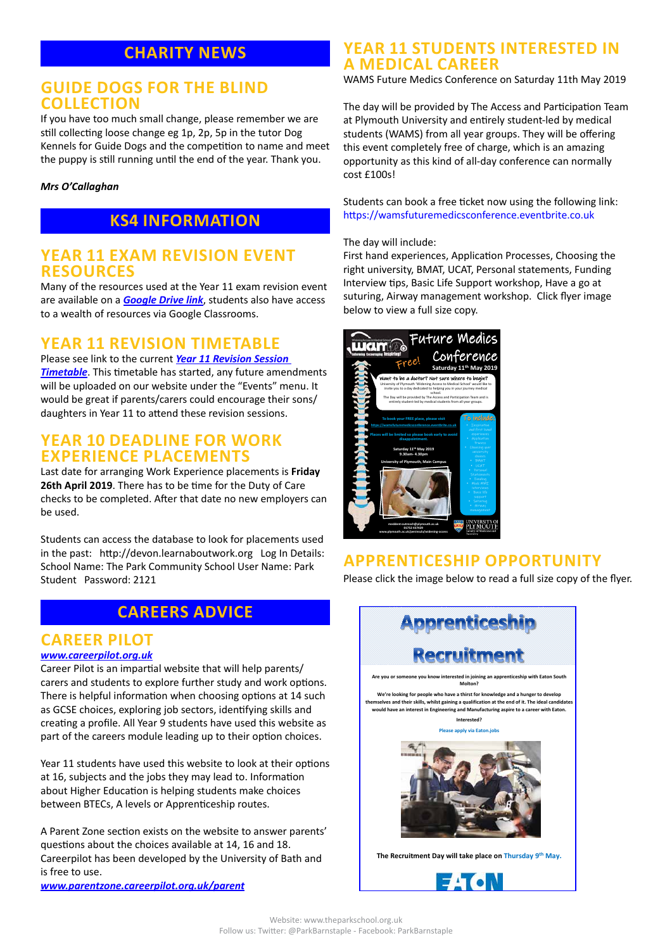# **CHARITY NEWS**

#### **GUIDE DOGS FOR THE BLIND COLLECTION**

If you have too much small change, please remember we are still collecting loose change eg 1p, 2p, 5p in the tutor Dog Kennels for Guide Dogs and the competition to name and meet the puppy is still running until the end of the year. Thank you.

#### *Mrs O'Callaghan*

# **KS4 INFORMATION**

#### **YEAR 11 EXAM REVISION EVENT RESOURCES**

Many of the resources used at the Year 11 exam revision event are available on a *[Google Drive link](https://drive.google.com/drive/folders/1XGRkz3JZdSWWvgVMC6TK330L9ukl4wnB?usp=sharing)*, students also have access to a wealth of resources via Google Classrooms.

### **YEAR 11 REVISION TIMETABLE**

Please see link to the current *[Year 11 Revision Session](https://docs.google.com/document/d/1dNMh7-L1kyihGF64pufxK6rpksF0LmhP7VMcilHf7oM/edit?usp=sharing)  [Timetable](https://docs.google.com/document/d/1dNMh7-L1kyihGF64pufxK6rpksF0LmhP7VMcilHf7oM/edit?usp=sharing)*. This timetable has started, any future amendments will be uploaded on our website under the "Events" menu. It would be great if parents/carers could encourage their sons/ daughters in Year 11 to attend these revision sessions.

### **YEAR 10 DEADLINE FOR WORK EXPERIENCE PLACEMENTS**

Last date for arranging Work Experience placements is **Friday 26th April 2019**. There has to be time for the Duty of Care checks to be completed. After that date no new employers can be used.

Students can access the database to look for placements used in the past: http://devon.learnaboutwork.org Log In Details: School Name: The Park Community School User Name: Park Student Password: 2121

# **CAREERS ADVICE**

## **CAREER PILOT**

#### *[www.careerpilot.org.uk](http://www.careerpilot.org.uk)*

Career Pilot is an impartial website that will help parents/ carers and students to explore further study and work options. There is helpful information when choosing options at 14 such as GCSE choices, exploring job sectors, identifying skills and creating a profile. All Year 9 students have used this website as part of the careers module leading up to their option choices.

Year 11 students have used this website to look at their options at 16, subjects and the jobs they may lead to. Information about Higher Education is helping students make choices between BTECs, A levels or Apprenticeship routes.

A Parent Zone section exists on the website to answer parents' questions about the choices available at 14, 16 and 18. Careerpilot has been developed by the University of Bath and is free to use.

*[www.parentzone.careerpilot.org.uk/parent](http://www.parentzone.careerpilot.org.uk/parent)*

# **YEAR 11 STUDENTS INTERESTED IN A MEDICAL CAREER**

WAMS Future Medics Conference on Saturday 11th May 2019

The day will be provided by The Access and Participation Team at Plymouth University and entirely student-led by medical students (WAMS) from all year groups. They will be offering this event completely free of charge, which is an amazing opportunity as this kind of all-day conference can normally cost £100s!

Students can book a free ticket now using the following link: https://wamsfuturemedicsconference.eventbrite.co.uk

#### The day will include:

First hand experiences, Application Processes, Choosing the right university, BMAT, UCAT, Personal statements, Funding Interview tips, Basic Life Support workshop, Have a go at suturing, Airway management workshop. Click flyer image below to view a full size copy.



### **APPRENTICESHIP OPPORTUNITY**

Please click the image below to read a full size copy of the flyer.